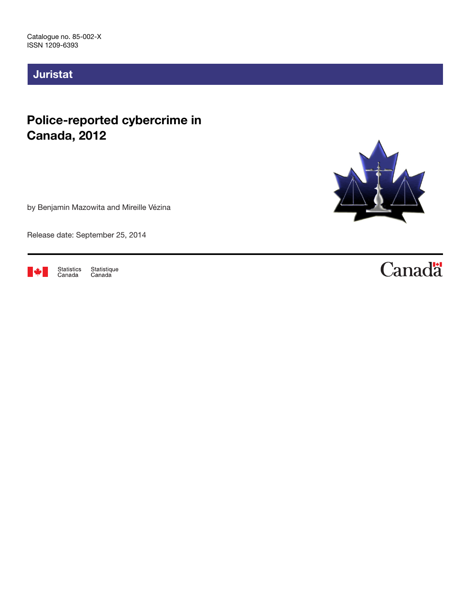# Juristat

# Police-reported cybercrime in Canada, 2012

by Benjamin Mazowita and Mireille Vézina

Release date: September 25, 2014



Statistique<br>Canada Statistics<br>Canada



# **Canadä**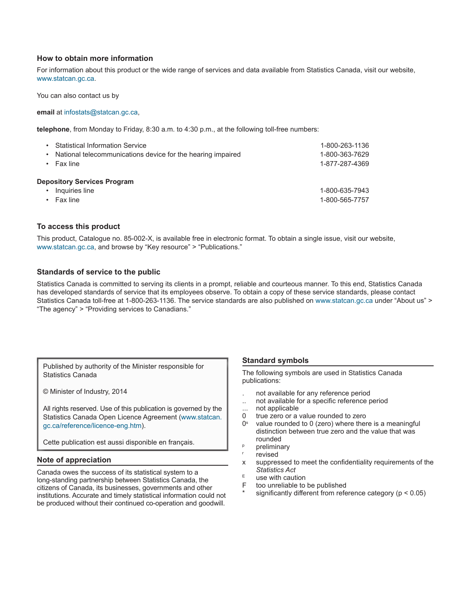#### **How to obtain more information**

For information about this product or the wide range of services and data available from Statistics Canada, visit our website, www.statcan.gc.ca.

You can also contact us by

#### **email** at infostats@statcan.gc.ca,

**telephone**, from Monday to Friday, 8:30 a.m. to 4:30 p.m., at the following toll-free numbers:

| ٠ | <b>Statistical Information Service</b><br>National telecommunications device for the hearing impaired<br>Fax line | 1-800-263-1136<br>1-800-363-7629<br>1-877-287-4369 |
|---|-------------------------------------------------------------------------------------------------------------------|----------------------------------------------------|
|   | <b>Depository Services Program</b>                                                                                |                                                    |
|   | Inquiries line                                                                                                    | 1-800-635-7943                                     |
|   | Fax line                                                                                                          | 1-800-565-7757                                     |

#### **To access this product**

This product, Catalogue no. 85-002-X, is available free in electronic format. To obtain a single issue, visit our website, www.statcan.gc.ca, and browse by "Key resource" > "Publications."

#### **Standards of service to the public**

Statistics Canada is committed to serving its clients in a prompt, reliable and courteous manner. To this end, Statistics Canada has developed standards of service that its employees observe. To obtain a copy of these service standards, please contact Statistics Canada toll-free at 1-800-263-1136. The service standards are also published on www.statcan.gc.ca under "About us" > "The agency" > "Providing services to Canadians."

Published by authority of the Minister responsible for Statistics Canada

© Minister of Industry, 2014

All rights reserved. Use of this publication is governed by the Statistics Canada Open Licence Agreement (www.statcan. gc.ca/reference/licence-eng.htm).

Cette publication est aussi disponible en français.

#### **Note of appreciation**

Canada owes the success of its statistical system to a long-standing partnership between Statistics Canada, the citizens of Canada, its businesses, governments and other institutions. Accurate and timely statistical information could not be produced without their continued co-operation and goodwill.

#### **Standard symbols**

The following symbols are used in Statistics Canada publications:

- . not available for any reference period
- .. not available for a specific reference period
- ... not applicable
- 0 true zero or a value rounded to zero
- $0<sup>s</sup>$  value rounded to 0 (zero) where there is a meaningful distinction between true zero and the value that was rounded
- **p** preliminary
- revised
- x suppressed to meet the confidentiality requirements of the *Statistics Act*
- $E$  use with caution<br>E too unreliable to
- too unreliable to be published
- significantly different from reference category ( $p < 0.05$ )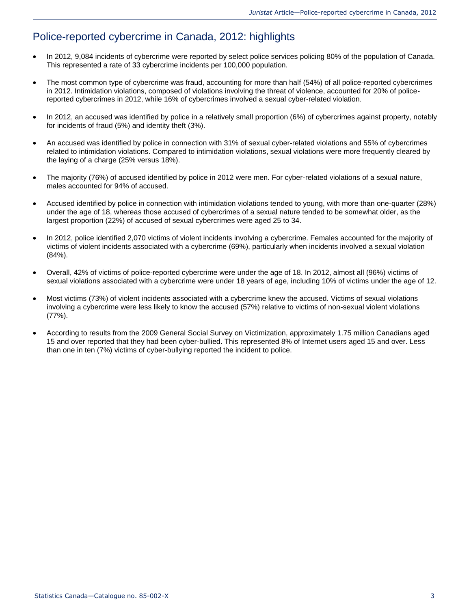## Police-reported cybercrime in Canada, 2012: highlights

- In 2012, 9,084 incidents of cybercrime were reported by select police services policing 80% of the population of Canada. This represented a rate of 33 cybercrime incidents per 100,000 population.
- The most common type of cybercrime was fraud, accounting for more than half (54%) of all police-reported cybercrimes in 2012. Intimidation violations, composed of violations involving the threat of violence, accounted for 20% of policereported cybercrimes in 2012, while 16% of cybercrimes involved a sexual cyber-related violation.
- In 2012, an accused was identified by police in a relatively small proportion (6%) of cybercrimes against property, notably for incidents of fraud (5%) and identity theft (3%).
- An accused was identified by police in connection with 31% of sexual cyber-related violations and 55% of cybercrimes related to intimidation violations. Compared to intimidation violations, sexual violations were more frequently cleared by the laying of a charge (25% versus 18%).
- The majority (76%) of accused identified by police in 2012 were men. For cyber-related violations of a sexual nature, males accounted for 94% of accused.
- Accused identified by police in connection with intimidation violations tended to young, with more than one-quarter (28%) under the age of 18, whereas those accused of cybercrimes of a sexual nature tended to be somewhat older, as the largest proportion (22%) of accused of sexual cybercrimes were aged 25 to 34.
- In 2012, police identified 2,070 victims of violent incidents involving a cybercrime. Females accounted for the majority of victims of violent incidents associated with a cybercrime (69%), particularly when incidents involved a sexual violation (84%).
- Overall, 42% of victims of police-reported cybercrime were under the age of 18. In 2012, almost all (96%) victims of sexual violations associated with a cybercrime were under 18 years of age, including 10% of victims under the age of 12.
- Most victims (73%) of violent incidents associated with a cybercrime knew the accused. Victims of sexual violations involving a cybercrime were less likely to know the accused (57%) relative to victims of non-sexual violent violations (77%).
- According to results from the 2009 General Social Survey on Victimization, approximately 1.75 million Canadians aged 15 and over reported that they had been cyber-bullied. This represented 8% of Internet users aged 15 and over. Less than one in ten (7%) victims of cyber-bullying reported the incident to police.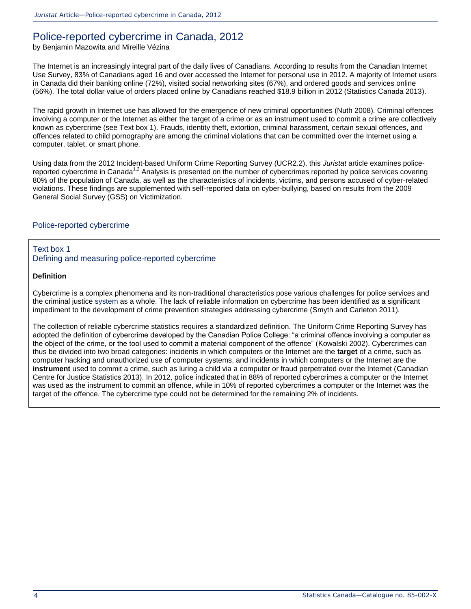### Police-reported cybercrime in Canada, 2012

by Benjamin Mazowita and Mireille Vézina

The Internet is an increasingly integral part of the daily lives of Canadians. According to results from the Canadian Internet Use Survey, 83% of Canadians aged 16 and over accessed the Internet for personal use in 2012. A majority of Internet users in Canada did their banking online (72%), visited social networking sites (67%), and ordered goods and services online (56%). The total dollar value of orders placed online by Canadians reached \$18.9 billion in 2012 [\(Statistics Canada 2013\)](http://wwwstaging.statcan.gc.ca/pub/85-002-x/2014001/article/14093-eng.htm#r16).

The rapid growth in Internet use has allowed for the emergence of new criminal opportunities [\(Nuth 2008\)](http://wwwstaging.statcan.gc.ca/pub/85-002-x/2014001/article/14093-eng.htm#r10). Criminal offences involving a computer or the Internet as either the target of a crime or as an instrument used to commit a crime are collectively known as cybercrime (see Text box 1). Frauds, identity theft, extortion, criminal harassment, certain sexual offences, and offences related to child pornography are among the criminal violations that can be committed over the Internet using a computer, tablet, or smart phone.

Using data from the 2012 Incident-based Uniform Crime Reporting Survey (UCR2.2), this *Juristat* article examines policereported cybercrime in Canada<sup>1,2</sup> Analysis is presented on the number of cybercrimes reported by police services covering 80% of the population of Canada, as well as the characteristics of incidents, victims, and persons accused of cyber-related violations. These findings are supplemented with self-reported data on cyber-bullying, based on results from the 2009 General Social Survey (GSS) on Victimization.

### Police-reported cybercrime

#### Text box 1 Defining and measuring police-reported cybercrime

#### **Definition**

Cybercrime is a complex phenomena and its non-traditional characteristics pose various challenges for police services and the criminal justice system as a whole. The lack of reliable information on cybercrime has been identified as a significant impediment to the development of crime prevention strategies addressing cybercrime [\(Smyth and Carleton 2011\)](http://wwwstaging.statcan.gc.ca/pub/85-002-x/2014001/article/14093-eng.htm#r15).

The collection of reliable cybercrime statistics requires a standardized definition. The Uniform Crime Reporting Survey has adopted the definition of cybercrime developed by the Canadian Police College: "a criminal offence involving a computer as the object of the crime, or the tool used to commit a material component of the offence" [\(Kowalski 2002\)](http://wwwstaging.statcan.gc.ca/pub/85-002-x/2014001/article/14093-eng.htm#r8). Cybercrimes can thus be divided into two broad categories: incidents in which computers or the Internet are the **target** of a crime, such as computer hacking and unauthorized use of computer systems, and incidents in which computers or the Internet are the **instrument** used to commit a crime, such as luring a child via a computer or fraud perpetrated over the Internet [\(Canadian](http://wwwstaging.statcan.gc.ca/pub/85-002-x/2014001/article/14093-eng.htm#r3)  [Centre for Justice Statistics 2013\)](http://wwwstaging.statcan.gc.ca/pub/85-002-x/2014001/article/14093-eng.htm#r3). In 2012, police indicated that in 88% of reported cybercrimes a computer or the Internet was used as the instrument to commit an offence, while in 10% of reported cybercrimes a computer or the Internet was the target of the offence. The cybercrime type could not be determined for the remaining 2% of incidents.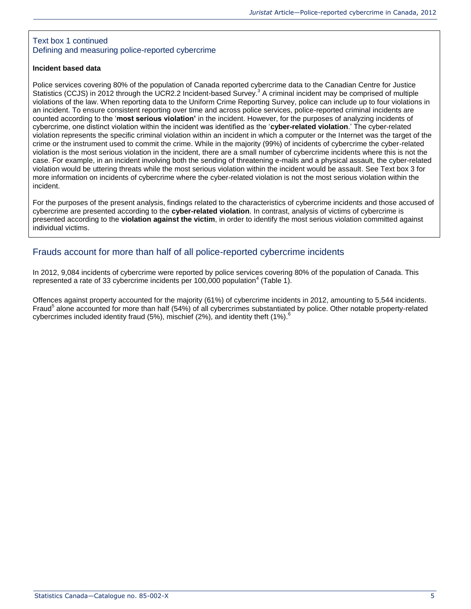### Text box 1 continued Defining and measuring police-reported cybercrime

#### **Incident based data**

Police services covering 80% of the population of Canada reported cybercrime data to the Canadian Centre for Justice Statistics (CCJS) in 2012 through the UCR2.2 Incident-based Survey.<sup>3</sup> A criminal incident may be comprised of multiple violations of the law. When reporting data to the Uniform Crime Reporting Survey, police can include up to four violations in an incident. To ensure consistent reporting over time and across police services, police-reported criminal incidents are counted according to the '**most serious violation'** in the incident. However, for the purposes of analyzing incidents of cybercrime, one distinct violation within the incident was identified as the '**cyber-related violation**.' The cyber-related violation represents the specific criminal violation within an incident in which a computer or the Internet was the target of the crime or the instrument used to commit the crime. While in the majority (99%) of incidents of cybercrime the cyber-related violation is the most serious violation in the incident, there are a small number of cybercrime incidents where this is not the case. For example, in an incident involving both the sending of threatening e-mails and a physical assault, the cyber-related violation would be uttering threats while the most serious violation within the incident would be assault. See Text box 3 for more information on incidents of cybercrime where the cyber-related violation is not the most serious violation within the incident.

For the purposes of the present analysis, findings related to the characteristics of cybercrime incidents and those accused of cybercrime are presented according to the **cyber-related violation**. In contrast, analysis of victims of cybercrime is presented according to the **violation against the victim**, in order to identify the most serious violation committed against individual victims.

### Frauds account for more than half of all police-reported cybercrime incidents

In 2012, 9,084 incidents of cybercrime were reported by police services covering 80% of the population of Canada. This represented a rate of 33 cybercrime incidents per 100,000 population<sup>4</sup> [\(Table 1\)](http://wwwstaging.statcan.gc.ca/pub/85-002-x/2014001/article/14093/tbl/tbl01-eng.htm).

Offences against property accounted for the majority (61%) of cybercrime incidents in 2012, amounting to 5,544 incidents. Fraud<sup>5</sup> alone accounted for more than half (54%) of all cybercrimes substantiated by police. Other notable property-related cybercrimes included identity fraud (5%), mischief (2%), and identity theft (1%). $^6$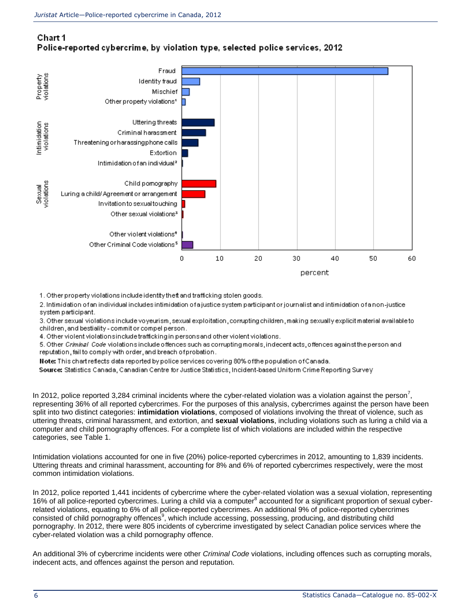### Chart 1 Police-reported cybercrime, by violation type, selected police services, 2012



1. Other property violations include identity theft and trafficking stolen goods.

2. Intimidation of an individual includes intimidation of a justice system participant or journalist and intimidation of a non-justice system participant.

3. Other sexual violations include voyeurism, sexual exploitation, corrupting children, making sexually explicit material available to children, and bestiality - commit or compel person.

4. Other violent violations include trafficking in persons and other violent violations.

5. Other Criminal Code violations include offences such as corrupting morals, indecent acts, offences against the person and reputation, fail to comply with order, and breach of probation.

Note: This chart reflects data reported by police services covering 80% of the population of Canada.

Source: Statistics Canada, Canadian Centre for Justice Statistics, Incident-based Uniform Crime Reporting Surve V

In 2012, police reported 3,284 criminal incidents where the cyber-related violation was a violation against the person<sup>7</sup>, representing 36% of all reported cybercrimes. For the purposes of this analysis, cybercrimes against the person have been split into two distinct categories: **intimidation violations**, composed of violations involving the threat of violence, such as uttering threats, criminal harassment, and extortion, and **sexual violations**, including violations such as luring a child via a computer and child pornography offences. For a complete list of which violations are included within the respective categories, se[e Table 1.](http://wwwstaging.statcan.gc.ca/pub/85-002-x/2014001/article/14093/tbl/tbl01-eng.htm)

Intimidation violations accounted for one in five (20%) police-reported cybercrimes in 2012, amounting to 1,839 incidents. Uttering threats and criminal harassment, accounting for 8% and 6% of reported cybercrimes respectively, were the most common intimidation violations.

In 2012, police reported 1,441 incidents of cybercrime where the cyber-related violation was a sexual violation, representing 16% of all police-reported cybercrimes. Luring a child via a computer<sup>8</sup> accounted for a significant proportion of sexual cyberrelated violations, equating to 6% of all police-reported cybercrimes. An additional 9% of police-reported cybercrimes consisted of child pornography offences<sup>9</sup>, which include accessing, possessing, producing, and distributing child pornography. In 2012, there were 805 incidents of cybercrime investigated by select Canadian police services where the cyber-related violation was a child pornography offence.

An additional 3% of cybercrime incidents were other *Criminal Code* violations, including offences such as corrupting morals, indecent acts, and offences against the person and reputation.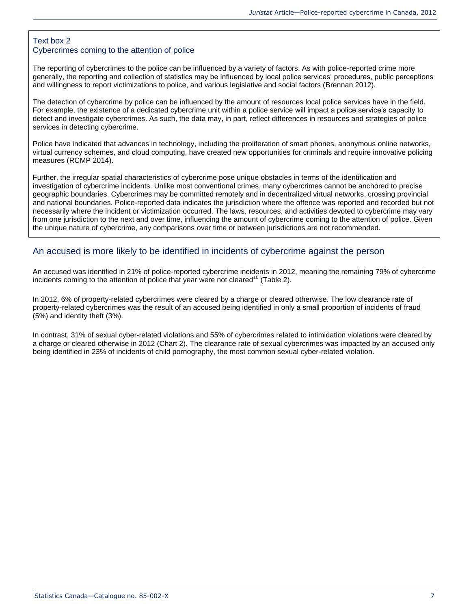### Text box 2 Cybercrimes coming to the attention of police

The reporting of cybercrimes to the police can be influenced by a variety of factors. As with police-reported crime more generally, the reporting and collection of statistics may be influenced by local police services' procedures, public perceptions and willingness to report victimizations to police, and various legislative and social factors [\(Brennan 2012\)](http://wwwstaging.statcan.gc.ca/pub/85-002-x/2014001/article/14093-eng.htm#r1).

The detection of cybercrime by police can be influenced by the amount of resources local police services have in the field. For example, the existence of a dedicated cybercrime unit within a police service will impact a police service's capacity to detect and investigate cybercrimes. As such, the data may, in part, reflect differences in resources and strategies of police services in detecting cybercrime.

Police have indicated that advances in technology, including the proliferation of smart phones, anonymous online networks, virtual currency schemes, and cloud computing, have created new opportunities for criminals and require innovative policing measures [\(RCMP 2014\)](http://wwwstaging.statcan.gc.ca/pub/85-002-x/2014001/article/14093-eng.htm#r14).

Further, the irregular spatial characteristics of cybercrime pose unique obstacles in terms of the identification and investigation of cybercrime incidents. Unlike most conventional crimes, many cybercrimes cannot be anchored to precise geographic boundaries. Cybercrimes may be committed remotely and in decentralized virtual networks, crossing provincial and national boundaries. Police-reported data indicates the jurisdiction where the offence was reported and recorded but not necessarily where the incident or victimization occurred. The laws, resources, and activities devoted to cybercrime may vary from one jurisdiction to the next and over time, influencing the amount of cybercrime coming to the attention of police. Given the unique nature of cybercrime, any comparisons over time or between jurisdictions are not recommended.

### An accused is more likely to be identified in incidents of cybercrime against the person

An accused was identified in 21% of police-reported cybercrime incidents in 2012, meaning the remaining 79% of cybercrime incidents coming to the attention of police that year were not cleared<sup>10</sup> [\(Table 2\)](http://wwwstaging.statcan.gc.ca/pub/85-002-x/2014001/article/14093/tbl/tbl02-eng.htm).

In 2012, 6% of property-related cybercrimes were cleared by a charge or cleared otherwise. The low clearance rate of property-related cybercrimes was the result of an accused being identified in only a small proportion of incidents of fraud (5%) and identity theft (3%).

In contrast, 31% of sexual cyber-related violations and 55% of cybercrimes related to intimidation violations were cleared by a charge or cleared otherwise in 2012 (Chart 2). The clearance rate of sexual cybercrimes was impacted by an accused only being identified in 23% of incidents of child pornography, the most common sexual cyber-related violation.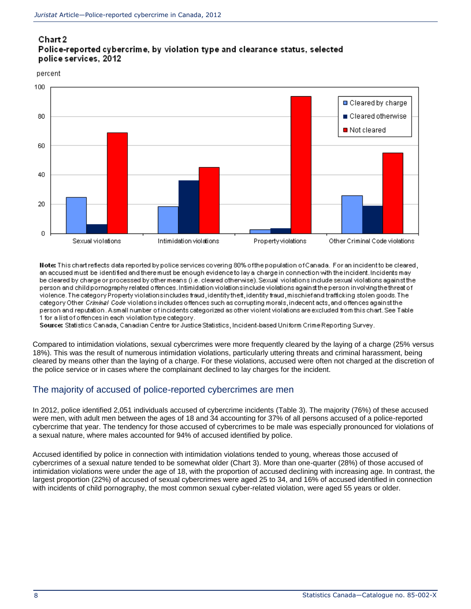### Chart 2

### Police-reported cybercrime, by violation type and clearance status, selected police services, 2012

percent



Note: This chart reflects data reported by police services covering 80% of the population of Canada. For an incident to be cleared, an accused must be identified and there must be enough evidence to lay a charge in connection with the incident. Incidents may be cleared by charge or processed by other means (i.e. cleared otherwise). Sexual violations include sexual violations against the person and child pornography related offences. Intimidation violations include violations against the person involving the threat of violence. The category Property violations includes fraud, identity theft, identity fraud, mischief and trafficking stolen goods. The category Other Criminal Code violations includes offences such as corrupting morals, indecent acts, and offences against the person and reputation. A small number of incidents categorized as other violent violations are excluded from this chart. See Table 1 for a list of offences in each violation type category.

Source: Statistics Canada, Canadian Centre for Justice Statistics, Incident-based Uniform Crime Reporting Survey.

Compared to intimidation violations, sexual cybercrimes were more frequently cleared by the laying of a charge (25% versus 18%). This was the result of numerous intimidation violations, particularly uttering threats and criminal harassment, being cleared by means other than the laying of a charge. For these violations, accused were often not charged at the discretion of the police service or in cases where the complainant declined to lay charges for the incident.

### The majority of accused of police-reported cybercrimes are men

In 2012, police identified 2,051 individuals accused of cybercrime incidents [\(Table 3\)](http://wwwstaging.statcan.gc.ca/pub/85-002-x/2014001/article/14093/tbl/tbl03-eng.htm). The majority (76%) of these accused were men, with adult men between the ages of 18 and 34 accounting for 37% of all persons accused of a police-reported cybercrime that year. The tendency for those accused of cybercrimes to be male was especially pronounced for violations of a sexual nature, where males accounted for 94% of accused identified by police.

Accused identified by police in connection with intimidation violations tended to young, whereas those accused of cybercrimes of a sexual nature tended to be somewhat older (Chart 3). More than one-quarter (28%) of those accused of intimidation violations were under the age of 18, with the proportion of accused declining with increasing age. In contrast, the largest proportion (22%) of accused of sexual cybercrimes were aged 25 to 34, and 16% of accused identified in connection with incidents of child pornography, the most common sexual cyber-related violation, were aged 55 years or older.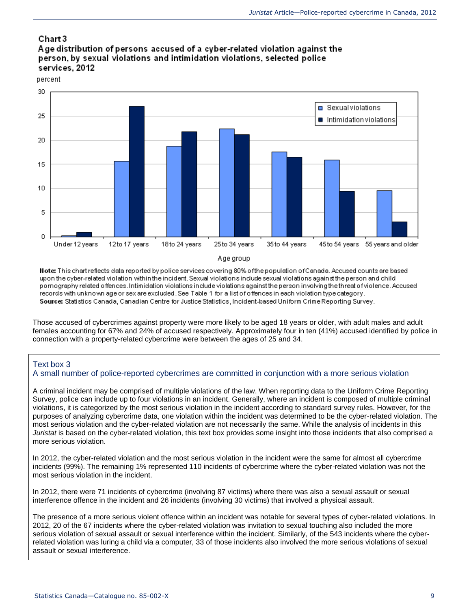### Chart 3 Age distribution of persons accused of a cyber-related violation against the person, by sexual violations and intimidation violations, selected police services, 2012

percent



#### Age group

Note: This chart reflects data reported by police services covering 80% of the population of Canada. Accused counts are based upon the cyber-related violation within the incident. Sexual violations indude sexual violations against the person and child pornography related offences. Intimidation violations include violations against the person involving the threat of violence. Accused records with unknown age or sex are excluded. See Table 1 for a list of offences in each violation type category. Source: Statistics Canada, Canadian Centre for Justice Statistics, Incident-based Uniform Crime Reporting Survey.

Those accused of cybercrimes against property were more likely to be aged 18 years or older, with adult males and adult females accounting for 67% and 24% of accused respectively. Approximately four in ten (41%) accused identified by police in connection with a property-related cybercrime were between the ages of 25 and 34.

### Text box 3

#### A small number of police-reported cybercrimes are committed in conjunction with a more serious violation

A criminal incident may be comprised of multiple violations of the law. When reporting data to the Uniform Crime Reporting Survey, police can include up to four violations in an incident. Generally, where an incident is composed of multiple criminal violations, it is categorized by the most serious violation in the incident according to standard survey rules. However, for the purposes of analyzing cybercrime data, one violation within the incident was determined to be the cyber-related violation. The most serious violation and the cyber-related violation are not necessarily the same. While the analysis of incidents in this *Juristat* is based on the cyber-related violation, this text box provides some insight into those incidents that also comprised a more serious violation.

In 2012, the cyber-related violation and the most serious violation in the incident were the same for almost all cybercrime incidents (99%). The remaining 1% represented 110 incidents of cybercrime where the cyber-related violation was not the most serious violation in the incident.

In 2012, there were 71 incidents of cybercrime (involving 87 victims) where there was also a sexual assault or sexual interference offence in the incident and 26 incidents (involving 30 victims) that involved a physical assault.

The presence of a more serious violent offence within an incident was notable for several types of cyber-related violations. In 2012, 20 of the 67 incidents where the cyber-related violation was invitation to sexual touching also included the more serious violation of sexual assault or sexual interference within the incident. Similarly, of the 543 incidents where the cyberrelated violation was luring a child via a computer, 33 of those incidents also involved the more serious violations of sexual assault or sexual interference.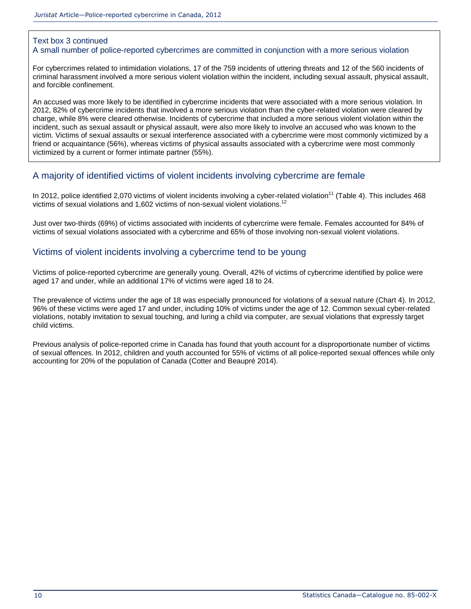### Text box 3 continued

#### A small number of police-reported cybercrimes are committed in conjunction with a more serious violation

For cybercrimes related to intimidation violations, 17 of the 759 incidents of uttering threats and 12 of the 560 incidents of criminal harassment involved a more serious violent violation within the incident, including sexual assault, physical assault, and forcible confinement.

An accused was more likely to be identified in cybercrime incidents that were associated with a more serious violation. In 2012, 82% of cybercrime incidents that involved a more serious violation than the cyber-related violation were cleared by charge, while 8% were cleared otherwise. Incidents of cybercrime that included a more serious violent violation within the incident, such as sexual assault or physical assault, were also more likely to involve an accused who was known to the victim. Victims of sexual assaults or sexual interference associated with a cybercrime were most commonly victimized by a friend or acquaintance (56%), whereas victims of physical assaults associated with a cybercrime were most commonly victimized by a current or former intimate partner (55%).

### A majority of identified victims of violent incidents involving cybercrime are female

In 2012, police identified 2,070 victims of violent incidents involving a cyber-related violation<sup>11</sup> [\(Table 4\)](http://wwwstaging.statcan.gc.ca/pub/85-002-x/2014001/article/14093/tbl/tbl04-eng.htm). This includes 468 victims of sexual violations and 1,602 victims of non-sexual violent violations.<sup>12</sup>

Just over two-thirds (69%) of victims associated with incidents of cybercrime were female. Females accounted for 84% of victims of sexual violations associated with a cybercrime and 65% of those involving non-sexual violent violations.

### Victims of violent incidents involving a cybercrime tend to be young

Victims of police-reported cybercrime are generally young. Overall, 42% of victims of cybercrime identified by police were aged 17 and under, while an additional 17% of victims were aged 18 to 24.

The prevalence of victims under the age of 18 was especially pronounced for violations of a sexual nature (Chart 4). In 2012, 96% of these victims were aged 17 and under, including 10% of victims under the age of 12. Common sexual cyber-related violations, notably invitation to sexual touching, and luring a child via computer, are sexual violations that expressly target child victims.

Previous analysis of police-reported crime in Canada has found that youth account for a disproportionate number of victims of sexual offences. In 2012, children and youth accounted for 55% of victims of all police-reported sexual offences while only accounting for 20% of the population of Canada [\(Cotter and Beaupré 2014\)](http://wwwstaging.statcan.gc.ca/pub/85-002-x/2014001/article/14093-eng.htm#r5).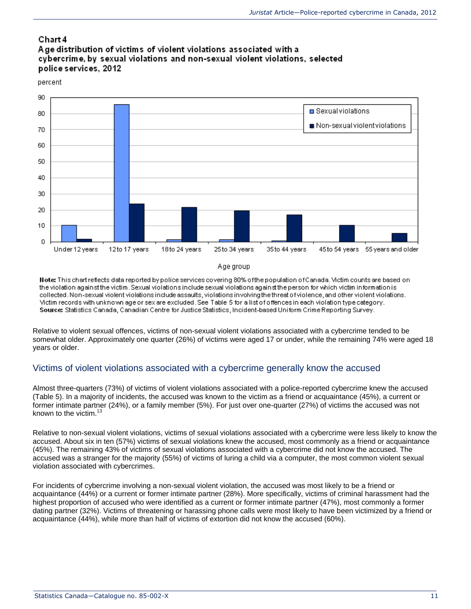### Chart 4

### Age distribution of victims of violent violations associated with a cybercrime, by sexual violations and non-sexual violent violations, selected police services, 2012

#### percent



#### Age group

Note: This chart reflects data reported by police services covering 80% of the population of Canada. Victim counts are based on the violation against the victim. Sexual violations include sexual violations against the person for which victim information is collected. Non-sexual violent violations include assaults, violations involving the threat of violence, and other violent violations. Mictim records with unknown age or sex are excluded. See Table 5 for a list of offences in each violation type category. Source: Statistics Canada, Canadian Centre for Justice Statistics, Incident-based Uniform Crime Reporting Survey.

Relative to violent sexual offences, victims of non-sexual violent violations associated with a cybercrime tended to be somewhat older. Approximately one quarter (26%) of victims were aged 17 or under, while the remaining 74% were aged 18 years or older.

### Victims of violent violations associated with a cybercrime generally know the accused

Almost three-quarters (73%) of victims of violent violations associated with a police-reported cybercrime knew the accused [\(Table 5\)](http://wwwstaging.statcan.gc.ca/pub/85-002-x/2014001/article/14093/tbl/tbl05-eng.htm). In a majority of incidents, the accused was known to the victim as a friend or acquaintance (45%), a current or former intimate partner (24%), or a family member (5%). For just over one-quarter (27%) of victims the accused was not known to the victim.<sup>13</sup>

Relative to non-sexual violent violations, victims of sexual violations associated with a cybercrime were less likely to know the accused. About six in ten (57%) victims of sexual violations knew the accused, most commonly as a friend or acquaintance (45%). The remaining 43% of victims of sexual violations associated with a cybercrime did not know the accused. The accused was a stranger for the majority (55%) of victims of luring a child via a computer, the most common violent sexual violation associated with cybercrimes.

For incidents of cybercrime involving a non-sexual violent violation, the accused was most likely to be a friend or acquaintance (44%) or a current or former intimate partner (28%). More specifically, victims of criminal harassment had the highest proportion of accused who were identified as a current or former intimate partner (47%), most commonly a former dating partner (32%). Victims of threatening or harassing phone calls were most likely to have been victimized by a friend or acquaintance (44%), while more than half of victims of extortion did not know the accused (60%).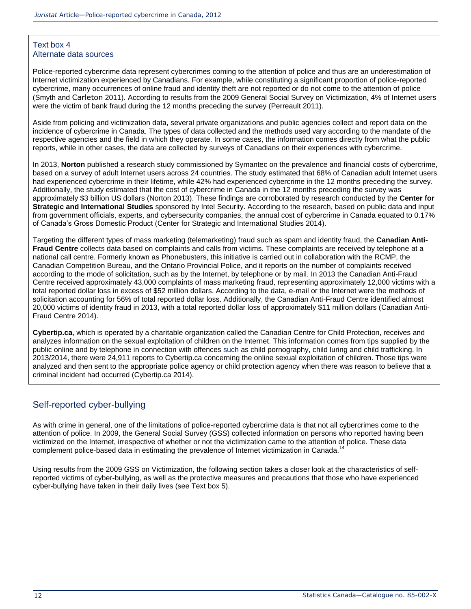### Text box 4 Alternate data sources

Police-reported cybercrime data represent cybercrimes coming to the attention of police and thus are an underestimation of Internet victimization experienced by Canadians. For example, while constituting a significant proportion of police-reported cybercrime, many occurrences of online fraud and identity theft are not reported or do not come to the attention of police [\(Smyth and](http://wwwstaging.statcan.gc.ca/pub/85-002-x/2014001/article/14093-eng.htm#r15) Carleton 2011). According to results from the 2009 General Social Survey on Victimization, 4% of Internet users were the victim of bank fraud during the 12 months preceding the survey [\(Perreault 2011\)](http://wwwstaging.statcan.gc.ca/pub/85-002-x/2014001/article/14093-eng.htm#r11).

Aside from policing and victimization data, several private organizations and public agencies collect and report data on the incidence of cybercrime in Canada. The types of data collected and the methods used vary according to the mandate of the respective agencies and the field in which they operate. In some cases, the information comes directly from what the public reports, while in other cases, the data are collected by surveys of Canadians on their experiences with cybercrime.

In 2013, **Norton** published a research study commissioned by Symantec on the prevalence and financial costs of cybercrime, based on a survey of adult Internet users across 24 countries. The study estimated that 68% of Canadian adult Internet users had experienced cybercrime in their lifetime, while 42% had experienced cybercrime in the 12 months preceding the survey. Additionally, the study estimated that the cost of cybercrime in Canada in the 12 months preceding the survey was approximately \$3 billion US dollars [\(Norton 2013\)](http://wwwstaging.statcan.gc.ca/pub/85-002-x/2014001/article/14093-eng.htm#r9). These findings are corroborated by research conducted by the **Center for Strategic and International Studies** sponsored by Intel Security. According to the research, based on public data and input from government officials, experts, and cybersecurity companies, the annual cost of cybercrime in Canada equated to 0.17% of Canada's Gross Domestic Product [\(Center for Strategic and International Studies 2014\)](http://wwwstaging.statcan.gc.ca/pub/85-002-x/2014001/article/14093-eng.htm#r4).

Targeting the different types of mass marketing (telemarketing) fraud such as spam and identity fraud, the **Canadian Anti-Fraud Centre** collects data based on complaints and calls from victims. These complaints are received by telephone at a national call centre. Formerly known as Phonebusters, this initiative is carried out in collaboration with the RCMP, the Canadian Competition Bureau, and the Ontario Provincial Police, and it reports on the number of complaints received according to the mode of solicitation, such as by the Internet, by telephone or by mail. In 2013 the Canadian Anti-Fraud Centre received approximately 43,000 complaints of mass marketing fraud, representing approximately 12,000 victims with a total reported dollar loss in excess of \$52 million dollars. According to the data, e-mail or the Internet were the methods of solicitation accounting for 56% of total reported dollar loss. Additionally, the Canadian Anti-Fraud Centre identified almost 20,000 victims of identity fraud in 2013, with a total reported dollar loss of approximately \$11 million dollars [\(Canadian Anti-](http://wwwstaging.statcan.gc.ca/pub/85-002-x/2014001/article/14093-eng.htm#r2)[Fraud Centre 2014\)](http://wwwstaging.statcan.gc.ca/pub/85-002-x/2014001/article/14093-eng.htm#r2).

**Cybertip.ca**, which is operated by a charitable organization called the Canadian Centre for Child Protection, receives and analyzes information on the sexual exploitation of children on the Internet. This information comes from tips supplied by the public online and by telephone in connection with offences such as child pornography, child luring and child trafficking. In 2013/2014, there were 24,911 reports to Cybertip.ca concerning the online sexual exploitation of children. Those tips were analyzed and then sent to the appropriate police agency or child protection agency when there was reason to believe that a criminal incident had occurred [\(Cybertip.ca 2014\)](http://wwwstaging.statcan.gc.ca/pub/85-002-x/2014001/article/14093-eng.htm#r6).

### Self-reported cyber-bullying

As with crime in general, one of the limitations of police-reported cybercrime data is that not all cybercrimes come to the attention of police. In 2009, the General Social Survey (GSS) collected information on persons who reported having been victimized on the Internet, irrespective of whether or not the victimization came to the attention of police. These data complement police-based data in estimating the prevalence of Internet victimization in Canada.<sup>14</sup>

Using results from the 2009 GSS on Victimization, the following section takes a closer look at the characteristics of selfreported victims of cyber-bullying, as well as the protective measures and precautions that those who have experienced cyber-bullying have taken in their daily lives (see Text box 5).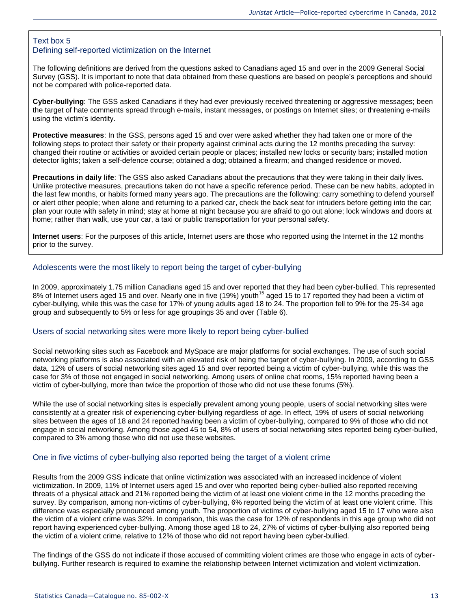#### Text box 5 Defining self-reported victimization on the Internet

The following definitions are derived from the questions asked to Canadians aged 15 and over in the 2009 General Social Survey (GSS). It is important to note that data obtained from these questions are based on people's perceptions and should not be compared with police-reported data.

**Cyber-bullying**: The GSS asked Canadians if they had ever previously received threatening or aggressive messages; been the target of hate comments spread through e-mails, instant messages, or postings on Internet sites; or threatening e-mails using the victim's identity.

**Protective measures**: In the GSS, persons aged 15 and over were asked whether they had taken one or more of the following steps to protect their safety or their property against criminal acts during the 12 months preceding the survey: changed their routine or activities or avoided certain people or places; installed new locks or security bars; installed motion detector lights; taken a self-defence course; obtained a dog; obtained a firearm; and changed residence or moved.

**Precautions in daily life**: The GSS also asked Canadians about the precautions that they were taking in their daily lives. Unlike protective measures, precautions taken do not have a specific reference period. These can be new habits, adopted in the last few months, or habits formed many years ago. The precautions are the following: carry something to defend yourself or alert other people; when alone and returning to a parked car, check the back seat for intruders before getting into the car; plan your route with safety in mind; stay at home at night because you are afraid to go out alone; lock windows and doors at home; rather than walk, use your car, a taxi or public transportation for your personal safety.

**Internet users**: For the purposes of this article, Internet users are those who reported using the Internet in the 12 months prior to the survey.

#### Adolescents were the most likely to report being the target of cyber-bullying

In 2009, approximately 1.75 million Canadians aged 15 and over reported that they had been cyber-bullied. This represented 8% of Internet users aged 15 and over. Nearly one in five (19%) youth<sup>15</sup> aged 15 to 17 reported they had been a victim of cyber-bullying, while this was the case for 17% of young adults aged 18 to 24. The proportion fell to 9% for the 25-34 age group and subsequently to 5% or less for age groupings 35 and over [\(Table 6\)](http://wwwstaging.statcan.gc.ca/pub/85-002-x/2014001/article/14093/tbl/tbl06-eng.htm).

#### Users of social networking sites were more likely to report being cyber-bullied

Social networking sites such as Facebook and MySpace are major platforms for social exchanges. The use of such social networking platforms is also associated with an elevated risk of being the target of cyber-bullying. In 2009, according to GSS data, 12% of users of social networking sites aged 15 and over reported being a victim of cyber-bullying, while this was the case for 3% of those not engaged in social networking. Among users of online chat rooms, 15% reported having been a victim of cyber-bullying, more than twice the proportion of those who did not use these forums (5%).

While the use of social networking sites is especially prevalent among young people, users of social networking sites were consistently at a greater risk of experiencing cyber-bullying regardless of age. In effect, 19% of users of social networking sites between the ages of 18 and 24 reported having been a victim of cyber-bullying, compared to 9% of those who did not engage in social networking. Among those aged 45 to 54, 8% of users of social networking sites reported being cyber-bullied, compared to 3% among those who did not use these websites.

#### One in five victims of cyber-bullying also reported being the target of a violent crime

Results from the 2009 GSS indicate that online victimization was associated with an increased incidence of violent victimization. In 2009, 11% of Internet users aged 15 and over who reported being cyber-bullied also reported receiving threats of a physical attack and 21% reported being the victim of at least one violent crime in the 12 months preceding the survey. By comparison, among non-victims of cyber-bullying, 6% reported being the victim of at least one violent crime. This difference was especially pronounced among youth. The proportion of victims of cyber-bullying aged 15 to 17 who were also the victim of a violent crime was 32%. In comparison, this was the case for 12% of respondents in this age group who did not report having experienced cyber-bullying. Among those aged 18 to 24, 27% of victims of cyber-bullying also reported being the victim of a violent crime, relative to 12% of those who did not report having been cyber-bullied.

The findings of the GSS do not indicate if those accused of committing violent crimes are those who engage in acts of cyberbullying. Further research is required to examine the relationship between Internet victimization and violent victimization.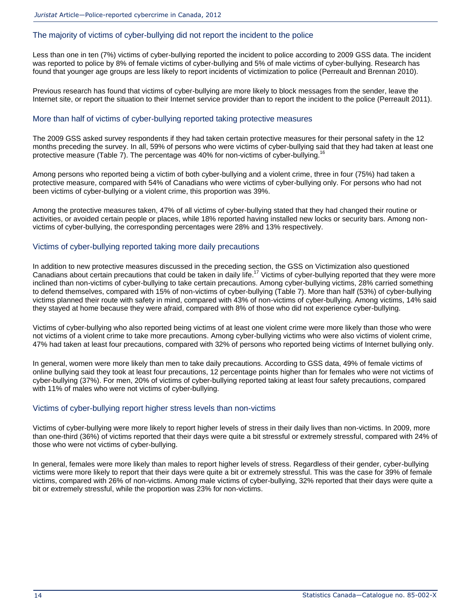#### The majority of victims of cyber-bullying did not report the incident to the police

Less than one in ten (7%) victims of cyber-bullying reported the incident to police according to 2009 GSS data. The incident was reported to police by 8% of female victims of cyber-bullying and 5% of male victims of cyber-bullying. Research has found that younger age groups are less likely to report incidents of victimization to police [\(Perreault and Brennan 2010\)](http://wwwstaging.statcan.gc.ca/pub/85-002-x/2014001/article/14093-eng.htm#r13).

Previous research has found that victims of cyber-bullying are more likely to block messages from the sender, leave the Internet site, or report the situation to their Internet service provider than to report the incident to the police [\(Perreault 2011\)](http://wwwstaging.statcan.gc.ca/pub/85-002-x/2014001/article/14093-eng.htm#r11).

#### More than half of victims of cyber-bullying reported taking protective measures

The 2009 GSS asked survey respondents if they had taken certain protective measures for their personal safety in the 12 months preceding the survey. In all, 59% of persons who were victims of cyber-bullying said that they had taken at least one protective measure [\(Table 7\)](http://wwwstaging.statcan.gc.ca/pub/85-002-x/2014001/article/14093/tbl/tbl07-eng.htm). The percentage was 40% for non-victims of cyber-bullying.<sup>1</sup>

Among persons who reported being a victim of both cyber-bullying and a violent crime, three in four (75%) had taken a protective measure, compared with 54% of Canadians who were victims of cyber-bullying only. For persons who had not been victims of cyber-bullying or a violent crime, this proportion was 39%.

Among the protective measures taken, 47% of all victims of cyber-bullying stated that they had changed their routine or activities, or avoided certain people or places, while 18% reported having installed new locks or security bars. Among nonvictims of cyber-bullying, the corresponding percentages were 28% and 13% respectively.

#### Victims of cyber-bullying reported taking more daily precautions

In addition to new protective measures discussed in the preceding section, the GSS on Victimization also questioned Canadians about certain precautions that could be taken in daily life.<sup>17</sup> Victims of cyber-bullying reported that they were more inclined than non-victims of cyber-bullying to take certain precautions. Among cyber-bullying victims, 28% carried something to defend themselves, compared with 15% of non-victims of cyber-bullying [\(Table 7\)](http://wwwstaging.statcan.gc.ca/pub/85-002-x/2014001/article/14093/tbl/tbl07-eng.htm). More than half (53%) of cyber-bullying victims planned their route with safety in mind, compared with 43% of non-victims of cyber-bullying. Among victims, 14% said they stayed at home because they were afraid, compared with 8% of those who did not experience cyber-bullying.

Victims of cyber-bullying who also reported being victims of at least one violent crime were more likely than those who were not victims of a violent crime to take more precautions. Among cyber-bullying victims who were also victims of violent crime, 47% had taken at least four precautions, compared with 32% of persons who reported being victims of Internet bullying only.

In general, women were more likely than men to take daily precautions. According to GSS data, 49% of female victims of online bullying said they took at least four precautions, 12 percentage points higher than for females who were not victims of cyber-bullying (37%). For men, 20% of victims of cyber-bullying reported taking at least four safety precautions, compared with 11% of males who were not victims of cyber-bullying.

#### Victims of cyber-bullying report higher stress levels than non-victims

Victims of cyber-bullying were more likely to report higher levels of stress in their daily lives than non-victims. In 2009, more than one-third (36%) of victims reported that their days were quite a bit stressful or extremely stressful, compared with 24% of those who were not victims of cyber-bullying.

In general, females were more likely than males to report higher levels of stress. Regardless of their gender, cyber-bullying victims were more likely to report that their days were quite a bit or extremely stressful. This was the case for 39% of female victims, compared with 26% of non-victims. Among male victims of cyber-bullying, 32% reported that their days were quite a bit or extremely stressful, while the proportion was 23% for non-victims.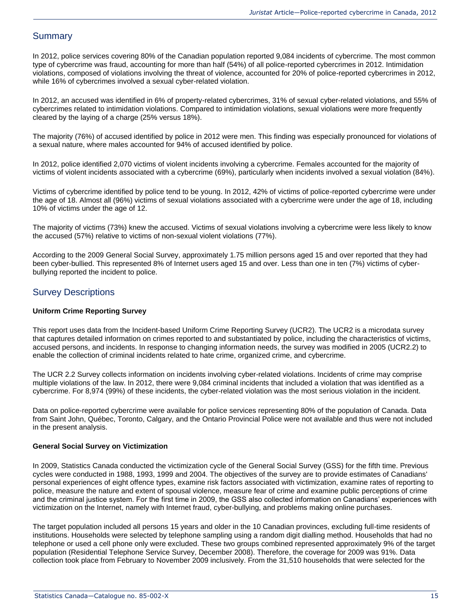### **Summary**

In 2012, police services covering 80% of the Canadian population reported 9,084 incidents of cybercrime. The most common type of cybercrime was fraud, accounting for more than half (54%) of all police-reported cybercrimes in 2012. Intimidation violations, composed of violations involving the threat of violence, accounted for 20% of police-reported cybercrimes in 2012, while 16% of cybercrimes involved a sexual cyber-related violation.

In 2012, an accused was identified in 6% of property-related cybercrimes, 31% of sexual cyber-related violations, and 55% of cybercrimes related to intimidation violations. Compared to intimidation violations, sexual violations were more frequently cleared by the laying of a charge (25% versus 18%).

The majority (76%) of accused identified by police in 2012 were men. This finding was especially pronounced for violations of a sexual nature, where males accounted for 94% of accused identified by police.

In 2012, police identified 2,070 victims of violent incidents involving a cybercrime. Females accounted for the majority of victims of violent incidents associated with a cybercrime (69%), particularly when incidents involved a sexual violation (84%).

Victims of cybercrime identified by police tend to be young. In 2012, 42% of victims of police-reported cybercrime were under the age of 18. Almost all (96%) victims of sexual violations associated with a cybercrime were under the age of 18, including 10% of victims under the age of 12.

The majority of victims (73%) knew the accused. Victims of sexual violations involving a cybercrime were less likely to know the accused (57%) relative to victims of non-sexual violent violations (77%).

According to the 2009 General Social Survey, approximately 1.75 million persons aged 15 and over reported that they had been cyber-bullied. This represented 8% of Internet users aged 15 and over. Less than one in ten (7%) victims of cyberbullying reported the incident to police.

### Survey Descriptions

#### **Uniform Crime Reporting Survey**

This report uses data from the Incident-based Uniform Crime Reporting Survey (UCR2). The UCR2 is a microdata survey that captures detailed information on crimes reported to and substantiated by police, including the characteristics of victims, accused persons, and incidents. In response to changing information needs, the survey was modified in 2005 (UCR2.2) to enable the collection of criminal incidents related to hate crime, organized crime, and cybercrime.

The UCR 2.2 Survey collects information on incidents involving cyber-related violations. Incidents of crime may comprise multiple violations of the law. In 2012, there were 9,084 criminal incidents that included a violation that was identified as a cybercrime. For 8,974 (99%) of these incidents, the cyber-related violation was the most serious violation in the incident.

Data on police-reported cybercrime were available for police services representing 80% of the population of Canada. Data from Saint John, Québec, Toronto, Calgary, and the Ontario Provincial Police were not available and thus were not included in the present analysis.

#### **General Social Survey on Victimization**

In 2009, Statistics Canada conducted the victimization cycle of the General Social Survey (GSS) for the fifth time. Previous cycles were conducted in 1988, 1993, 1999 and 2004. The objectives of the survey are to provide estimates of Canadians' personal experiences of eight offence types, examine risk factors associated with victimization, examine rates of reporting to police, measure the nature and extent of spousal violence, measure fear of crime and examine public perceptions of crime and the criminal justice system. For the first time in 2009, the GSS also collected information on Canadians' experiences with victimization on the Internet, namely with Internet fraud, cyber-bullying, and problems making online purchases.

The target population included all persons 15 years and older in the 10 Canadian provinces, excluding full-time residents of institutions. Households were selected by telephone sampling using a random digit dialling method. Households that had no telephone or used a cell phone only were excluded. These two groups combined represented approximately 9% of the target population (Residential Telephone Service Survey, December 2008). Therefore, the coverage for 2009 was 91%. Data collection took place from February to November 2009 inclusively. From the 31,510 households that were selected for the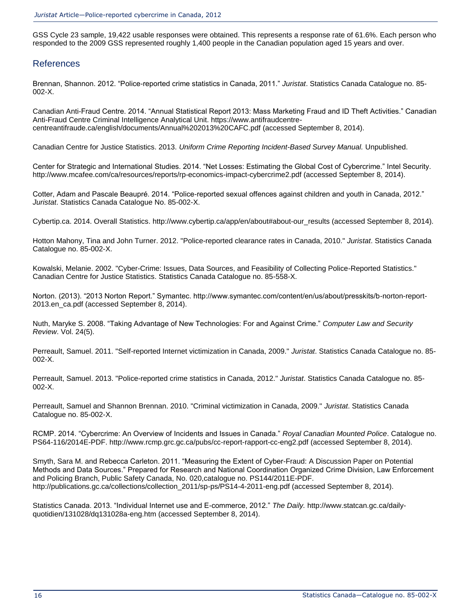GSS Cycle 23 sample, 19,422 usable responses were obtained. This represents a response rate of 61.6%. Each person who responded to the 2009 GSS represented roughly 1,400 people in the Canadian population aged 15 years and over.

### References

Brennan, Shannon. 2012. "Police-reported crime statistics in Canada, 2011." *Juristat*. Statistics Canada Catalogue no. 85- 002-X.

Canadian Anti-Fraud Centre. 2014. "Annual Statistical Report 2013: Mass Marketing Fraud and ID Theft Activities." Canadian Anti-Fraud Centre Criminal Intelligence Analytical Unit. https://www.antifraudcentrecentreantifraude.ca/english/documents/Annual%202013%20CAFC.pdf (accessed September 8, 2014).

Canadian Centre for Justice Statistics. 2013. *Uniform Crime Reporting Incident-Based Survey Manual.* Unpublished.

Center for Strategic and International Studies. 2014. "Net Losses: Estimating the Global Cost of Cybercrime." Intel Security. http://www.mcafee.com/ca/resources/reports/rp-economics-impact-cybercrime2.pdf (accessed September 8, 2014).

Cotter, Adam and Pascale Beaupré. 2014. "Police-reported sexual offences against children and youth in Canada, 2012." *Juristat*. Statistics Canada Catalogue No. 85-002-X.

Cybertip.ca. 2014. Overall Statistics. [http://www.cybertip.ca/app/en/about#about-our\\_results](http://www.cybertip.ca/app/en/about#about-our_results) (accessed September 8, 2014).

Hotton Mahony, Tina and John Turner. 2012. "Police-reported clearance rates in Canada, 2010." *Juristat*. Statistics Canada Catalogue no. 85-002-X.

Kowalski, Melanie. 2002. "Cyber-Crime: Issues, Data Sources, and Feasibility of Collecting Police-Reported Statistics." Canadian Centre for Justice Statistics. Statistics Canada Catalogue no. 85-558-X.

Norton. (2013). "2013 Norton Report." Symantec. http://www.symantec.com/content/en/us/about/presskits/b-norton-report-2013.en\_ca.pdf (accessed September 8, 2014).

Nuth, Maryke S. 2008. "Taking Advantage of New Technologies: For and Against Crime." *Computer Law and Security Review*. Vol. 24(5).

Perreault, Samuel. 2011. "Self-reported Internet victimization in Canada, 2009." *Juristat*. Statistics Canada Catalogue no. 85- 002-X.

Perreault, Samuel. 2013. "Police-reported crime statistics in Canada, 2012." *Juristat*. Statistics Canada Catalogue no. 85- 002-X.

Perreault, Samuel and Shannon Brennan. 2010. "Criminal victimization in Canada, 2009." *Juristat*. Statistics Canada Catalogue no. 85-002-X.

RCMP. 2014. "Cybercrime: An Overview of Incidents and Issues in Canada." *Royal Canadian Mounted Police*. Catalogue no. PS64-116/2014E-PDF. http://www.rcmp.grc.gc.ca/pubs/cc-report-rapport-cc-eng2.pdf (accessed September 8, 2014).

Smyth, Sara M. and Rebecca Carleton. 2011. "Measuring the Extent of Cyber-Fraud: A Discussion Paper on Potential Methods and Data Sources." Prepared for Research and National Coordination Organized Crime Division, Law Enforcement and Policing Branch, Public Safety Canada, No. 020,catalogue no. PS144/2011E-PDF. [http://publications.gc.ca/collections/collection\\_2011/sp-ps/PS14-4-2011-eng.pdf](http://publications.gc.ca/collections/collection_2011/sp-ps/PS14-4-2011-eng.pdf) (accessed September 8, 2014).

Statistics Canada. 2013. "Individual Internet use and E-commerce, 2012." *The Daily.* [http://www.statcan.gc.ca/daily](http://www.statcan.gc.ca/daily-quotidien/131028/dq131028a-eng.htm)[quotidien/131028/dq131028a-eng.htm](http://www.statcan.gc.ca/daily-quotidien/131028/dq131028a-eng.htm) (accessed September 8, 2014).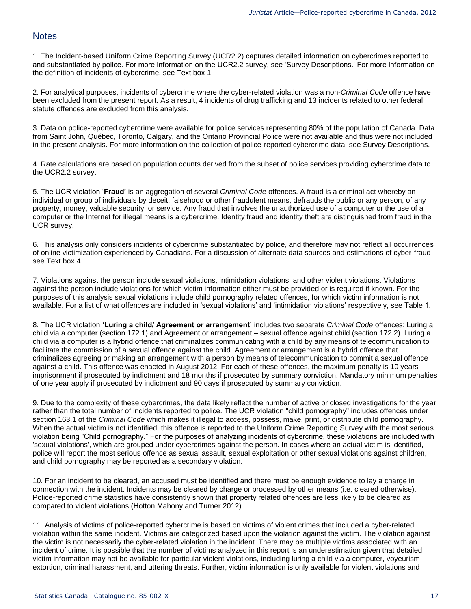### **Notes**

1. The Incident-based Uniform Crime Reporting Survey (UCR2.2) captures detailed information on cybercrimes reported to and substantiated by police. For more information on the UCR2.2 survey, see 'Survey Descriptions.' For more information on the definition of incidents of cybercrime, see Text box 1.

2. For analytical purposes, incidents of cybercrime where the cyber-related violation was a non-*Criminal Code* offence have been excluded from the present report. As a result, 4 incidents of drug trafficking and 13 incidents related to other federal statute offences are excluded from this analysis.

3. Data on police-reported cybercrime were available for police services representing 80% of the population of Canada. Data from Saint John, Québec, Toronto, Calgary, and the Ontario Provincial Police were not available and thus were not included in the present analysis. For more information on the collection of police-reported cybercrime data, see Survey Descriptions.

4. Rate calculations are based on population counts derived from the subset of police services providing cybercrime data to the UCR2.2 survey.

5. The UCR violation '**Fraud'** is an aggregation of several *Criminal Code* offences. A fraud is a criminal act whereby an individual or group of individuals by deceit, falsehood or other fraudulent means, defrauds the public or any person, of any property, money, valuable security, or service. Any fraud that involves the unauthorized use of a computer or the use of a computer or the Internet for illegal means is a cybercrime. Identity fraud and identity theft are distinguished from fraud in the UCR survey.

6. This analysis only considers incidents of cybercrime substantiated by police, and therefore may not reflect all occurrences of online victimization experienced by Canadians. For a discussion of alternate data sources and estimations of cyber-fraud see Text box 4.

7. Violations against the person include sexual violations, intimidation violations, and other violent violations. Violations against the person include violations for which victim information either must be provided or is required if known. For the purposes of this analysis sexual violations include child pornography related offences, for which victim information is not available. For a list of what offences are included in 'sexual violations' and 'intimidation violations' respectively, see Table 1.

8. The UCR violation **'Luring a child/ Agreement or arrangement'** includes two separate *Criminal Code* offences: Luring a child via a computer (section 172.1) and Agreement or arrangement – sexual offence against child (section 172.2). Luring a child via a computer is a hybrid offence that criminalizes communicating with a child by any means of telecommunication to facilitate the commission of a sexual offence against the child. Agreement or arrangement is a hybrid offence that criminalizes agreeing or making an arrangement with a person by means of telecommunication to commit a sexual offence against a child. This offence was enacted in August 2012. For each of these offences, the maximum penalty is 10 years imprisonment if prosecuted by indictment and 18 months if prosecuted by summary conviction. Mandatory minimum penalties of one year apply if prosecuted by indictment and 90 days if prosecuted by summary conviction.

9. Due to the complexity of these cybercrimes, the data likely reflect the number of active or closed investigations for the year rather than the total number of incidents reported to police. The UCR violation "child pornography" includes offences under section 163.1 of the *Criminal Code* which makes it illegal to access, possess, make, print, or distribute child pornography. When the actual victim is not identified, this offence is reported to the Uniform Crime Reporting Survey with the most serious violation being "Child pornography." For the purposes of analyzing incidents of cybercrime, these violations are included with 'sexual violations', which are grouped under cybercrimes against the person. In cases where an actual victim is identified, police will report the most serious offence as sexual assault, sexual exploitation or other sexual violations against children, and child pornography may be reported as a secondary violation.

10. For an incident to be cleared, an accused must be identified and there must be enough evidence to lay a charge in connection with the incident. Incidents may be cleared by charge or processed by other means (i.e. cleared otherwise). Police-reported crime statistics have consistently shown that property related offences are less likely to be cleared as compared to violent violations (Hotton Mahony and Turner 2012).

11. Analysis of victims of police-reported cybercrime is based on victims of violent crimes that included a cyber-related violation within the same incident. Victims are categorized based upon the violation against the victim. The violation against the victim is not necessarily the cyber-related violation in the incident. There may be multiple victims associated with an incident of crime. It is possible that the number of victims analyzed in this report is an underestimation given that detailed victim information may not be available for particular violent violations, including luring a child via a computer, voyeurism, extortion, criminal harassment, and uttering threats. Further, victim information is only available for violent violations and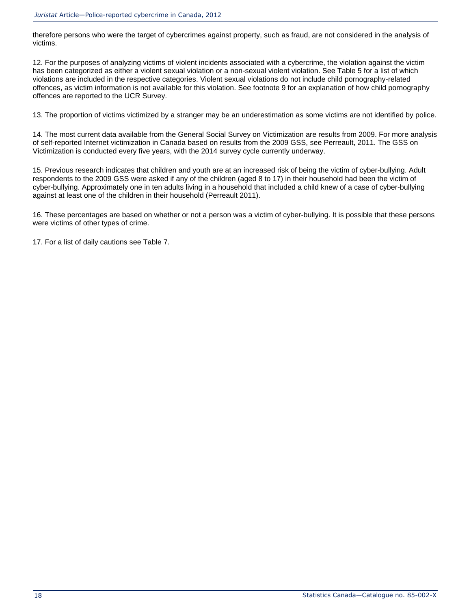therefore persons who were the target of cybercrimes against property, such as fraud, are not considered in the analysis of victims.

12. For the purposes of analyzing victims of violent incidents associated with a cybercrime, the violation against the victim has been categorized as either a violent sexual violation or a non-sexual violent violation. See Table 5 for a list of which violations are included in the respective categories. Violent sexual violations do not include child pornography-related offences, as victim information is not available for this violation. See footnote 9 for an explanation of how child pornography offences are reported to the UCR Survey.

13. The proportion of victims victimized by a stranger may be an underestimation as some victims are not identified by police.

14. The most current data available from the General Social Survey on Victimization are results from 2009. For more analysis of self-reported Internet victimization in Canada based on results from the 2009 GSS, see Perreault, 2011. The GSS on Victimization is conducted every five years, with the 2014 survey cycle currently underway.

15. Previous research indicates that children and youth are at an increased risk of being the victim of cyber-bullying. Adult respondents to the 2009 GSS were asked if any of the children (aged 8 to 17) in their household had been the victim of cyber-bullying. Approximately one in ten adults living in a household that included a child knew of a case of cyber-bullying against at least one of the children in their household (Perreault 2011).

16. These percentages are based on whether or not a person was a victim of cyber-bullying. It is possible that these persons were victims of other types of crime.

17. For a list of daily cautions see Table 7.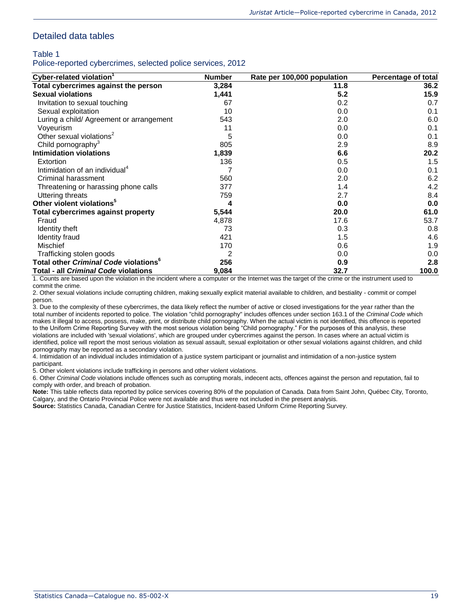### Detailed data tables

#### Table 1

Police-reported cybercrimes, selected police services, 2012

| Cyber-related violation <sup>1</sup>                     | <b>Number</b> | Rate per 100,000 population | Percentage of total |
|----------------------------------------------------------|---------------|-----------------------------|---------------------|
| Total cybercrimes against the person                     | 3,284         | 11.8                        | 36.2                |
| <b>Sexual violations</b>                                 | 1,441         | 5.2                         | 15.9                |
| Invitation to sexual touching                            | 67            | 0.2 <sub>0</sub>            | 0.7                 |
| Sexual exploitation                                      | 10            | 0.0                         | 0.1                 |
| Luring a child/ Agreement or arrangement                 | 543           | 2.0                         | 6.0                 |
| Voyeurism                                                | 11            | 0.0                         | 0.1                 |
| Other sexual violations <sup>2</sup>                     | 5             | 0.0                         | 0.1                 |
| Child pornography <sup>3</sup>                           | 805           | 2.9                         | 8.9                 |
| Intimidation violations                                  | 1,839         | 6.6                         | 20.2                |
| Extortion                                                | 136           | 0.5                         | 1.5                 |
| Intimidation of an individual <sup>4</sup>               |               | 0.0                         | 0.1                 |
| Criminal harassment                                      | 560           | 2.0                         | 6.2                 |
| Threatening or harassing phone calls                     | 377           | 1.4                         | 4.2                 |
| Uttering threats                                         | 759           | 2.7                         | 8.4                 |
| Other violent violations <sup>5</sup>                    | 4             | 0.0                         | 0.0                 |
| Total cybercrimes against property                       | 5,544         | 20.0                        | 61.0                |
| Fraud                                                    | 4,878         | 17.6                        | 53.7                |
| Identity theft                                           | 73            | 0.3                         | 0.8                 |
| Identity fraud                                           | 421           | 1.5                         | 4.6                 |
| <b>Mischief</b>                                          | 170           | 0.6                         | 1.9                 |
| Trafficking stolen goods                                 | 2             | 0.0                         | 0.0                 |
| Total other <i>Criminal Code</i> violations <sup>°</sup> | 256           | 0.9                         | 2.8                 |
| Total - all Criminal Code violations                     | 9,084         | 32.7                        | 100.0               |

1. Counts are based upon the violation in the incident where a computer or the Internet was the target of the crime or the instrument used to commit the crime.

2. Other sexual violations include corrupting children, making sexually explicit material available to children, and bestiality - commit or compel person.

3. Due to the complexity of these cybercrimes, the data likely reflect the number of active or closed investigations for the year rather than the total number of incidents reported to police. The violation "child pornography" includes offences under section 163.1 of the *Criminal Code* which makes it illegal to access, possess, make, print, or distribute child pornography. When the actual victim is not identified, this offence is reported to the Uniform Crime Reporting Survey with the most serious violation being "Child pornography." For the purposes of this analysis, these violations are included with 'sexual violations', which are grouped under cybercrimes against the person. In cases where an actual victim is identified, police will report the most serious violation as sexual assault, sexual exploitation or other sexual violations against children, and child pornography may be reported as a secondary violation.

4. Intimidation of an individual includes intimidation of a justice system participant or journalist and intimidation of a non-justice system participant.

5. Other violent violations include trafficking in persons and other violent violations.

6. Other *Criminal Code* violations include offences such as corrupting morals, indecent acts, offences against the person and reputation, fail to comply with order, and breach of probation.

**Note:** This table reflects data reported by police services covering 80% of the population of Canada. Data from Saint John, Québec City, Toronto, Calgary, and the Ontario Provincial Police were not available and thus were not included in the present analysis.

**Source:** Statistics Canada, Canadian Centre for Justice Statistics, Incident-based Uniform Crime Reporting Survey.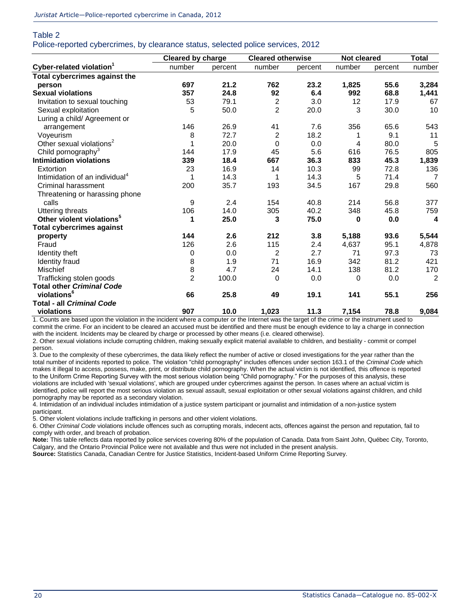### Table 2 Police-reported cybercrimes, by clearance status, selected police services, 2012

|                                            | Cleared by charge |         | <b>Cleared otherwise</b> |         | Not cleared | <b>Total</b> |                         |
|--------------------------------------------|-------------------|---------|--------------------------|---------|-------------|--------------|-------------------------|
| Cyber-related violation <sup>1</sup>       | number            | percent | number                   | percent | number      | percent      | number                  |
| Total cybercrimes against the              |                   |         |                          |         |             |              |                         |
| person                                     | 697               | 21.2    | 762                      | 23.2    | 1,825       | 55.6         | 3,284                   |
| <b>Sexual violations</b>                   | 357               | 24.8    | 92                       | 6.4     | 992         | 68.8         | 1,441                   |
| Invitation to sexual touching              | 53                | 79.1    | 2                        | 3.0     | 12          | 17.9         | 67                      |
| Sexual exploitation                        | 5                 | 50.0    | $\overline{2}$           | 20.0    | 3           | 30.0         | 10                      |
| Luring a child/ Agreement or               |                   |         |                          |         |             |              |                         |
| arrangement                                | 146               | 26.9    | 41                       | 7.6     | 356         | 65.6         | 543                     |
| Voyeurism                                  | 8                 | 72.7    | $\overline{2}$           | 18.2    |             | 9.1          | 11                      |
| Other sexual violations <sup>2</sup>       |                   | 20.0    | $\Omega$                 | 0.0     | 4           | 80.0         | 5                       |
| Child pornography <sup>3</sup>             | 144               | 17.9    | 45                       | 5.6     | 616         | 76.5         | 805                     |
| <b>Intimidation violations</b>             | 339               | 18.4    | 667                      | 36.3    | 833         | 45.3         | 1,839                   |
| Extortion                                  | 23                | 16.9    | 14                       | 10.3    | 99          | 72.8         | 136                     |
| Intimidation of an individual <sup>4</sup> | 1                 | 14.3    | 1                        | 14.3    | 5           | 71.4         | $\overline{7}$          |
| <b>Criminal harassment</b>                 | 200               | 35.7    | 193                      | 34.5    | 167         | 29.8         | 560                     |
| Threatening or harassing phone             |                   |         |                          |         |             |              |                         |
| calls                                      | 9                 | 2.4     | 154                      | 40.8    | 214         | 56.8         | 377                     |
| <b>Uttering threats</b>                    | 106               | 14.0    | 305                      | 40.2    | 348         | 45.8         | 759                     |
| Other violent violations <sup>5</sup>      |                   | 25.0    | 3                        | 75.0    | 0           | 0.0          | $\overline{\mathbf{4}}$ |
| <b>Total cybercrimes against</b>           |                   |         |                          |         |             |              |                         |
| property                                   | 144               | 2.6     | 212                      | 3.8     | 5,188       | 93.6         | 5,544                   |
| Fraud                                      | 126               | 2.6     | 115                      | 2.4     | 4,637       | 95.1         | 4,878                   |
| Identity theft                             | 0                 | 0.0     | 2                        | 2.7     | 71          | 97.3         | 73                      |
| Identity fraud                             | 8                 | 1.9     | 71                       | 16.9    | 342         | 81.2         | 421                     |
| Mischief                                   | 8                 | 4.7     | 24                       | 14.1    | 138         | 81.2         | 170                     |
| Trafficking stolen goods                   | $\overline{2}$    | 100.0   | $\Omega$                 | 0.0     | $\Omega$    | 0.0          | $\overline{2}$          |
| <b>Total other Criminal Code</b>           |                   |         |                          |         |             |              |                         |
| violations <sup>6</sup>                    | 66                | 25.8    | 49                       | 19.1    | 141         | 55.1         | 256                     |
| <b>Total - all Criminal Code</b>           |                   |         |                          |         |             |              |                         |
| violations                                 | 907               | 10.0    | 1,023                    | 11.3    | 7,154       | 78.8         | 9,084                   |

1. Counts are based upon the violation in the incident where a computer or the Internet was the target of the crime or the instrument used to commit the crime. For an incident to be cleared an accused must be identified and there must be enough evidence to lay a charge in connection with the incident. Incidents may be cleared by charge or processed by other means (i.e. cleared otherwise).

2. Other sexual violations include corrupting children, making sexually explicit material available to children, and bestiality - commit or compel person.

3. Due to the complexity of these cybercrimes, the data likely reflect the number of active or closed investigations for the year rather than the total number of incidents reported to police. The violation "child pornography" includes offences under section 163.1 of the *Criminal Code* which makes it illegal to access, possess, make, print, or distribute child pornography. When the actual victim is not identified, this offence is reported to the Uniform Crime Reporting Survey with the most serious violation being "Child pornography." For the purposes of this analysis, these violations are included with 'sexual violations', which are grouped under cybercrimes against the person. In cases where an actual victim is identified, police will report the most serious violation as sexual assault, sexual exploitation or other sexual violations against children, and child pornography may be reported as a secondary violation.

4. Intimidation of an individual includes intimidation of a justice system participant or journalist and intimidation of a non-justice system participant.

5. Other violent violations include trafficking in persons and other violent violations.

6. Other *Criminal Code* violations include offences such as corrupting morals, indecent acts, offences against the person and reputation, fail to comply with order, and breach of probation.

**Note:** This table reflects data reported by police services covering 80% of the population of Canada. Data from Saint John, Québec City, Toronto, Calgary, and the Ontario Provincial Police were not available and thus were not included in the present analysis.

**Source:** Statistics Canada, Canadian Centre for Justice Statistics, Incident-based Uniform Crime Reporting Survey.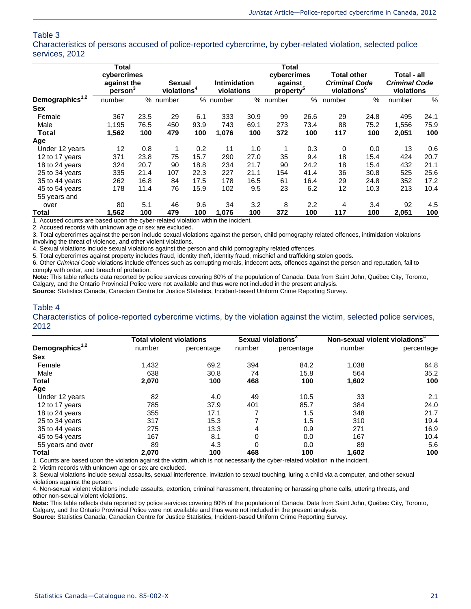Characteristics of persons accused of police-reported cybercrime, by cyber-related violation, selected police services, 2012

|                             | <b>Total</b>                                      |      |                                          |      |                                   |      | <b>Total</b>                                    |      |                                                                       |      |                                                   |      |
|-----------------------------|---------------------------------------------------|------|------------------------------------------|------|-----------------------------------|------|-------------------------------------------------|------|-----------------------------------------------------------------------|------|---------------------------------------------------|------|
|                             | cybercrimes<br>against the<br>person <sup>®</sup> |      | <b>Sexual</b><br>violations <sup>4</sup> |      | <b>Intimidation</b><br>violations |      | cybercrimes<br>against<br>property <sup>®</sup> |      | <b>Total other</b><br><b>Criminal Code</b><br>violations <sup>6</sup> |      | Total - all<br><b>Criminal Code</b><br>violations |      |
| Demographics <sup>1,2</sup> | number                                            |      | % number                                 |      | % number                          |      | % number                                        | %    | number                                                                | %    | number                                            | %    |
| <b>Sex</b>                  |                                                   |      |                                          |      |                                   |      |                                                 |      |                                                                       |      |                                                   |      |
| Female                      | 367                                               | 23.5 | 29                                       | 6.1  | 333                               | 30.9 | 99                                              | 26.6 | 29                                                                    | 24.8 | 495                                               | 24.1 |
| Male                        | 1,195                                             | 76.5 | 450                                      | 93.9 | 743                               | 69.1 | 273                                             | 73.4 | 88                                                                    | 75.2 | 1,556                                             | 75.9 |
| Total                       | 1,562                                             | 100  | 479                                      | 100  | 1,076                             | 100  | 372                                             | 100  | 117                                                                   | 100  | 2,051                                             | 100  |
| Age                         |                                                   |      |                                          |      |                                   |      |                                                 |      |                                                                       |      |                                                   |      |
| Under 12 years              | 12                                                | 0.8  | 1                                        | 0.2  | 11                                | 1.0  | 1                                               | 0.3  | 0                                                                     | 0.0  | 13                                                | 0.6  |
| 12 to 17 years              | 371                                               | 23.8 | 75                                       | 15.7 | 290                               | 27.0 | 35                                              | 9.4  | 18                                                                    | 15.4 | 424                                               | 20.7 |
| 18 to 24 years              | 324                                               | 20.7 | 90                                       | 18.8 | 234                               | 21.7 | 90                                              | 24.2 | 18                                                                    | 15.4 | 432                                               | 21.1 |
| 25 to 34 years              | 335                                               | 21.4 | 107                                      | 22.3 | 227                               | 21.1 | 154                                             | 41.4 | 36                                                                    | 30.8 | 525                                               | 25.6 |
| 35 to 44 years              | 262                                               | 16.8 | 84                                       | 17.5 | 178                               | 16.5 | 61                                              | 16.4 | 29                                                                    | 24.8 | 352                                               | 17.2 |
| 45 to 54 years              | 178                                               | 11.4 | 76                                       | 15.9 | 102                               | 9.5  | 23                                              | 6.2  | 12                                                                    | 10.3 | 213                                               | 10.4 |
| 55 years and                |                                                   |      |                                          |      |                                   |      |                                                 |      |                                                                       |      |                                                   |      |
| over                        | 80                                                | 5.1  | 46                                       | 9.6  | 34                                | 3.2  | 8                                               | 2.2  | 4                                                                     | 3.4  | 92                                                | 4.5  |
| Total                       | 1,562                                             | 100  | 479                                      | 100  | 1,076                             | 100  | 372                                             | 100  | 117                                                                   | 100  | 2,051                                             | 100  |

1. Accused counts are based upon the cyber-related violation within the incident.

2. Accused records with unknown age or sex are excluded.

3. Total cybercrimes against the person include sexual violations against the person, child pornography related offences, intimidation violations involving the threat of violence, and other violent violations.

4. Sexual violations include sexual violations against the person and child pornography related offences.

5. Total cybercrimes against property includes fraud, identity theft, identity fraud, mischief and trafficking stolen goods.

6. Other *Criminal Code* violations include offences such as corrupting morals, indecent acts, offences against the person and reputation, fail to comply with order, and breach of probation.

**Note:** This table reflects data reported by police services covering 80% of the population of Canada. Data from Saint John, Québec City, Toronto, Calgary, and the Ontario Provincial Police were not available and thus were not included in the present analysis.

**Source:** Statistics Canada, Canadian Centre for Justice Statistics, Incident-based Uniform Crime Reporting Survey.

#### Table 4

Characteristics of police-reported cybercrime victims, by the violation against the victim, selected police services, 2012

|                             | <b>Total violent violations</b> |            |        | Sexual violations <sup>3</sup> | Non-sexual violent violations <sup>4</sup> |            |  |
|-----------------------------|---------------------------------|------------|--------|--------------------------------|--------------------------------------------|------------|--|
| Demographics <sup>1,2</sup> | number                          | percentage | number | percentage                     | number                                     | percentage |  |
| <b>Sex</b>                  |                                 |            |        |                                |                                            |            |  |
| Female                      | 1,432                           | 69.2       | 394    | 84.2                           | 1,038                                      | 64.8       |  |
| Male                        | 638                             | 30.8       | 74     | 15.8                           | 564                                        | 35.2       |  |
| Total                       | 2.070                           | 100        | 468    | 100                            | 1,602                                      | 100        |  |
| Age                         |                                 |            |        |                                |                                            |            |  |
| Under 12 years              | 82                              | 4.0        | 49     | 10.5                           | 33                                         | 2.1        |  |
| 12 to 17 years              | 785                             | 37.9       | 401    | 85.7                           | 384                                        | 24.0       |  |
| 18 to 24 years              | 355                             | 17.1       |        | 1.5                            | 348                                        | 21.7       |  |
| 25 to 34 years              | 317                             | 15.3       |        | 1.5                            | 310                                        | 19.4       |  |
| 35 to 44 years              | 275                             | 13.3       | 4      | 0.9                            | 271                                        | 16.9       |  |
| 45 to 54 years              | 167                             | 8.1        | 0      | 0.0                            | 167                                        | 10.4       |  |
| 55 years and over           | 89                              | 4.3        | 0      | 0.0                            | 89                                         | 5.6        |  |
| Total                       | 2.070                           | 100        | 468    | 100                            | 1,602                                      | 100        |  |

1. Counts are based upon the violation against the victim, which is not necessarily the cyber-related violation in the incident.

2. Victim records with unknown age or sex are excluded.

3. Sexual violations include sexual assaults, sexual interference, invitation to sexual touching, luring a child via a computer, and other sexual violations against the person.

4. Non-sexual violent violations include assaults, extortion, criminal harassment, threatening or harassing phone calls, uttering threats, and other non-sexual violent violations.

**Note:** This table reflects data reported by police services covering 80% of the population of Canada. Data from Saint John, Québec City, Toronto, Calgary, and the Ontario Provincial Police were not available and thus were not included in the present analysis.

**Source:** Statistics Canada, Canadian Centre for Justice Statistics, Incident-based Uniform Crime Reporting Survey.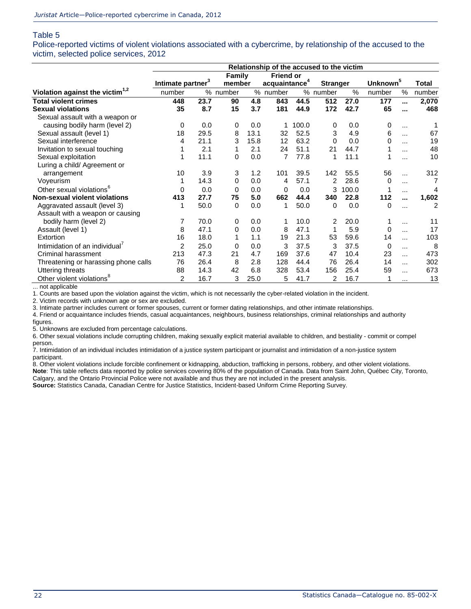Police-reported victims of violent violations associated with a cybercrime, by relationship of the accused to the victim, selected police services, 2012

|                                             | Relationship of the accused to the victim |                                     |          |      |                  |                 |          |                      |          |               |        |
|---------------------------------------------|-------------------------------------------|-------------------------------------|----------|------|------------------|-----------------|----------|----------------------|----------|---------------|--------|
|                                             |                                           |                                     | Family   |      | <b>Friend or</b> |                 |          |                      |          |               |        |
|                                             | Intimate partner <sup>3</sup>             | acquaintance <sup>4</sup><br>member |          |      |                  | <b>Stranger</b> |          | Unknown <sup>5</sup> |          |               |        |
| Violation against the victim <sup>1,2</sup> | number                                    |                                     | % number |      | % number         |                 | % number | $\frac{0}{0}$        | number   | $\frac{0}{0}$ | number |
| <b>Total violent crimes</b>                 | 448                                       | 23.7                                | 90       | 4.8  | 843              | 44.5            | 512      | 27.0                 | 177      |               | 2,070  |
| <b>Sexual violations</b>                    | 35                                        | 8.7                                 | 15       | 3.7  | 181              | 44.9            | 172      | 42.7                 | 65       |               | 468    |
| Sexual assault with a weapon or             |                                           |                                     |          |      |                  |                 |          |                      |          |               |        |
| causing bodily harm (level 2)               | 0                                         | 0.0                                 | 0        | 0.0  |                  | 100.0           | 0        | 0.0                  | 0        | $\cdots$      |        |
| Sexual assault (level 1)                    | 18                                        | 29.5                                | 8        | 13.1 | 32               | 52.5            | 3        | 4.9                  | 6        | $\cdots$      | 67     |
| Sexual interference                         | 4                                         | 21.1                                | 3        | 15.8 | 12               | 63.2            | 0        | 0.0                  | O        | $\cdots$      | 19     |
| Invitation to sexual touching               |                                           | 2.1                                 |          | 2.1  | 24               | 51.1            | 21       | 44.7                 |          | $\cdots$      | 48     |
| Sexual exploitation                         |                                           | 11.1                                | 0        | 0.0  | 7                | 77.8            | 1        | 11.1                 |          |               | 10     |
| Luring a child/ Agreement or                |                                           |                                     |          |      |                  |                 |          |                      |          |               |        |
| arrangement                                 | 10                                        | 3.9                                 | 3        | 1.2  | 101              | 39.5            | 142      | 55.5                 | 56       | $\cdots$      | 312    |
| Voyeurism                                   |                                           | 14.3                                | 0        | 0.0  | 4                | 57.1            | 2        | 28.6                 | 0        |               | 7      |
| Other sexual violations <sup>6</sup>        | 0                                         | 0.0                                 | 0        | 0.0  | 0                | 0.0             | 3        | 100.0                |          | $\cdots$      | 4      |
| <b>Non-sexual violent violations</b>        | 413                                       | 27.7                                | 75       | 5.0  | 662              | 44.4            | 340      | 22.8                 | 112      |               | 1,602  |
| Aggravated assault (level 3)                |                                           | 50.0                                | 0        | 0.0  | $\mathbf{1}$     | 50.0            | 0        | 0.0                  | 0        |               | 2      |
| Assault with a weapon or causing            |                                           |                                     |          |      |                  |                 |          |                      |          |               |        |
| bodily harm (level 2)                       | 7                                         | 70.0                                | 0        | 0.0  | 1                | 10.0            | 2        | 20.0                 |          | $\cdots$      | 11     |
| Assault (level 1)                           | 8                                         | 47.1                                | $\Omega$ | 0.0  | 8                | 47.1            |          | 5.9                  | $\Omega$ | $\cdots$      | 17     |
| Extortion                                   | 16                                        | 18.0                                |          | 1.1  | 19               | 21.3            | 53       | 59.6                 | 14       | $\cdots$      | 103    |
| Intimidation of an individual <sup>7</sup>  | 2                                         | 25.0                                | 0        | 0.0  | 3                | 37.5            | 3        | 37.5                 | 0        | $\cdots$      | 8      |
| Criminal harassment                         | 213                                       | 47.3                                | 21       | 4.7  | 169              | 37.6            | 47       | 10.4                 | 23       | $\cdots$      | 473    |
| Threatening or harassing phone calls        | 76                                        | 26.4                                | 8        | 2.8  | 128              | 44.4            | 76       | 26.4                 | 14       | $\cdots$      | 302    |
| <b>Uttering threats</b>                     | 88                                        | 14.3                                | 42       | 6.8  | 328              | 53.4            | 156      | 25.4                 | 59       |               | 673    |
| Other violent violations <sup>8</sup>       | $\overline{2}$                            | 16.7                                | 3        | 25.0 | 5                | 41.7            | 2        | 16.7                 | 1        | $\cdots$      | 13     |

... not applicable 1. Counts are based upon the violation against the victim, which is not necessarily the cyber-related violation in the incident.

2. Victim records with unknown age or sex are excluded.

3. Intimate partner includes current or former spouses, current or former dating relationships, and other intimate relationships.

4. Friend or acquaintance includes friends, casual acquaintances, neighbours, business relationships, criminal relationships and authority figures.

5. Unknowns are excluded from percentage calculations.

6. Other sexual violations include corrupting children, making sexually explicit material available to children, and bestiality - commit or compel person.

7. Intimidation of an individual includes intimidation of a justice system participant or journalist and intimidation of a non-justice system participant.

8. Other violent violations include forcible confinement or kidnapping, abduction, trafficking in persons, robbery, and other violent violations. **Note**: This table reflects data reported by police services covering 80% of the population of Canada. Data from Saint John, Québec City, Toronto,

Calgary, and the Ontario Provincial Police were not available and thus they are not included in the present analysis. **Source:** Statistics Canada, Canadian Centre for Justice Statistics, Incident-based Uniform Crime Reporting Survey.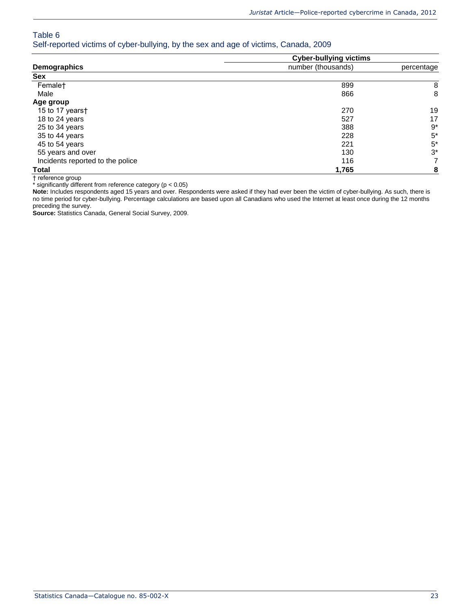Self-reported victims of cyber-bullying, by the sex and age of victims, Canada, 2009

|                                  | <b>Cyber-bullying victims</b> |                |  |  |  |  |
|----------------------------------|-------------------------------|----------------|--|--|--|--|
| Demographics                     | number (thousands)            | percentage     |  |  |  |  |
| Sex                              |                               |                |  |  |  |  |
| Femalet                          | 899                           | 8              |  |  |  |  |
| Male                             | 866                           | 8              |  |  |  |  |
| Age group                        |                               |                |  |  |  |  |
| 15 to 17 years†                  | 270                           | 19             |  |  |  |  |
| 18 to 24 years                   | 527                           | 17             |  |  |  |  |
| 25 to 34 years                   | 388                           | 9*             |  |  |  |  |
| 35 to 44 years                   | 228                           | $5*$           |  |  |  |  |
| 45 to 54 years                   | 221                           | $5^*$          |  |  |  |  |
| 55 years and over                | 130                           | $3^*$          |  |  |  |  |
| Incidents reported to the police | 116                           | $\overline{7}$ |  |  |  |  |
| <b>Total</b>                     | 1,765                         | 8              |  |  |  |  |

† reference group

\* significantly different from reference category (p < 0.05)

**Note:** Includes respondents aged 15 years and over. Respondents were asked if they had ever been the victim of cyber-bullying. As such, there is no time period for cyber-bullying. Percentage calculations are based upon all Canadians who used the Internet at least once during the 12 months preceding the survey.

**Source:** Statistics Canada, General Social Survey, 2009.